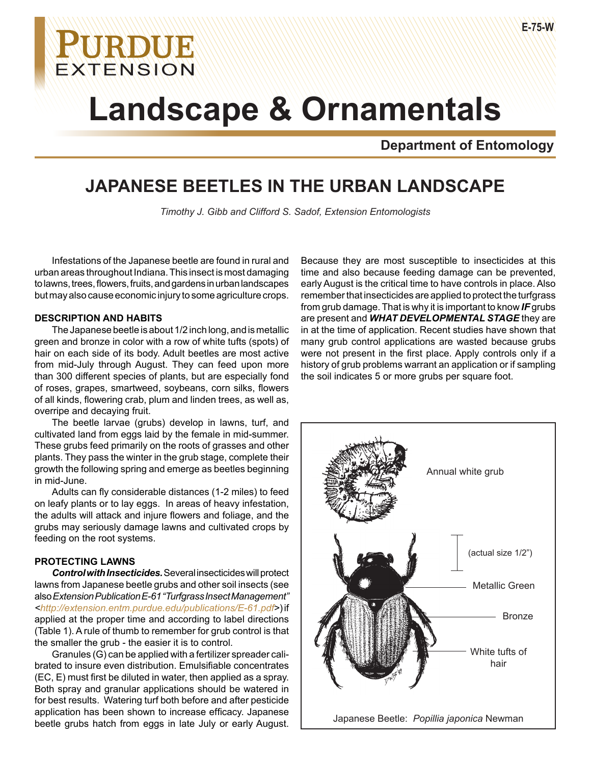# **Landscape & Ornamentals**

**Department of Entomology**

## **JAPANESE BEETLES IN THE URBAN LANDSCAPE**

*Timothy J. Gibb and Clifford S. Sadof, Extension Entomologists*

Infestations of the Japanese beetle are found in rural and urban areas throughout Indiana. This insect is most damaging to lawns, trees, flowers, fruits, and gardens in urban landscapes but may also cause economic injury to some agriculture crops.

**URDUE** 

EXTENSION

#### **DESCRIPTION AND HABITS**

The Japanese beetle is about 1/2 inch long, and is metallic green and bronze in color with a row of white tufts (spots) of hair on each side of its body. Adult beetles are most active from mid-July through August. They can feed upon more than 300 different species of plants, but are especially fond of roses, grapes, smartweed, soybeans, corn silks, flowers of all kinds, flowering crab, plum and linden trees, as well as, overripe and decaying fruit.

The beetle larvae (grubs) develop in lawns, turf, and cultivated land from eggs laid by the female in mid-summer. These grubs feed primarily on the roots of grasses and other plants. They pass the winter in the grub stage, complete their growth the following spring and emerge as beetles beginning in mid-June.

Adults can fly considerable distances (1-2 miles) to feed on leafy plants or to lay eggs. In areas of heavy infestation, the adults will attack and injure flowers and foliage, and the grubs may seriously damage lawns and cultivated crops by feeding on the root systems.

#### **PROTECTING LAWNS**

*Control with Insecticides.* Several insecticides will protect lawns from Japanese beetle grubs and other soil insects (see also *Extension Publication E-61 "Turfgrass Insect Management" <http://extension.entm.purdue.edu/publications/E-61.pdf>*) if applied at the proper time and according to label directions (Table 1). A rule of thumb to remember for grub control is that the smaller the grub - the easier it is to control.

Granules (G) can be applied with a fertilizer spreader calibrated to insure even distribution. Emulsifiable concentrates (EC, E) must first be diluted in water, then applied as a spray. Both spray and granular applications should be watered in for best results. Watering turf both before and after pesticide application has been shown to increase efficacy. Japanese beetle grubs hatch from eggs in late July or early August.

Because they are most susceptible to insecticides at this time and also because feeding damage can be prevented, early August is the critical time to have controls in place. Also remember that insecticides are applied to protect the turfgrass from grub damage. That is why it is important to know *IF* grubs are present and *WHAT DEVELOPMENTAL STAGE* they are in at the time of application. Recent studies have shown that many grub control applications are wasted because grubs were not present in the first place. Apply controls only if a history of grub problems warrant an application or if sampling the soil indicates 5 or more grubs per square foot.

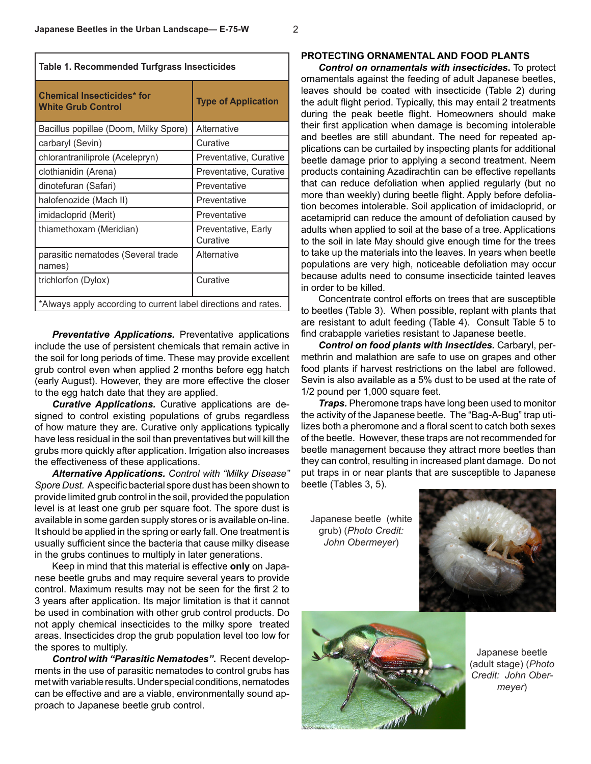| Table 1. Recommended Turfgrass Insecticides                    |                                 |  |
|----------------------------------------------------------------|---------------------------------|--|
| <b>Chemical Insecticides* for</b><br><b>White Grub Control</b> | <b>Type of Application</b>      |  |
| Bacillus popillae (Doom, Milky Spore)                          | Alternative                     |  |
| carbaryl (Sevin)                                               | Curative                        |  |
| chlorantraniliprole (Acelepryn)                                | Preventative, Curative          |  |
| clothianidin (Arena)                                           | Preventative, Curative          |  |
| dinotefuran (Safari)                                           | Preventative                    |  |
| halofenozide (Mach II)                                         | Preventative                    |  |
| imidacloprid (Merit)                                           | Preventative                    |  |
| thiamethoxam (Meridian)                                        | Preventative, Early<br>Curative |  |
| parasitic nematodes (Several trade<br>names)                   | Alternative                     |  |
| trichlorfon (Dylox)                                            | Curative                        |  |
| *Always apply according to current label directions and rates. |                                 |  |

**Preventative Applications.** Preventative applications include the use of persistent chemicals that remain active in the soil for long periods of time. These may provide excellent grub control even when applied 2 months before egg hatch (early August). However, they are more effective the closer to the egg hatch date that they are applied.

*Curative Applications.* Curative applications are designed to control existing populations of grubs regardless of how mature they are. Curative only applications typically have less residual in the soil than preventatives but will kill the grubs more quickly after application. Irrigation also increases the effectiveness of these applications.

*Alternative Applications. Control with "Milky Disease" Spore Dust.* A specific bacterial spore dust has been shown to provide limited grub control in the soil, provided the population level is at least one grub per square foot. The spore dust is available in some garden supply stores or is available on-line. It should be applied in the spring or early fall. One treatment is usually sufficient since the bacteria that cause milky disease in the grubs continues to multiply in later generations.

Keep in mind that this material is effective **only** on Japanese beetle grubs and may require several years to provide control. Maximum results may not be seen for the first 2 to 3 years after application. Its major limitation is that it cannot be used in combination with other grub control products. Do not apply chemical insecticides to the milky spore treated areas. Insecticides drop the grub population level too low for the spores to multiply.

*Control with "Parasitic Nematodes"***.** Recent developments in the use of parasitic nematodes to control grubs has met with variable results. Under special conditions, nematodes can be effective and are a viable, environmentally sound approach to Japanese beetle grub control.

#### **PROTECTING ORNAMENTAL AND FOOD PLANTS**

*Control on ornamentals with insecticides***.** To protect ornamentals against the feeding of adult Japanese beetles, leaves should be coated with insecticide (Table 2) during the adult flight period. Typically, this may entail 2 treatments during the peak beetle flight. Homeowners should make their first application when damage is becoming intolerable and beetles are still abundant. The need for repeated applications can be curtailed by inspecting plants for additional beetle damage prior to applying a second treatment. Neem products containing Azadirachtin can be effective repellants that can reduce defoliation when applied regularly (but no more than weekly) during beetle flight. Apply before defoliation becomes intolerable. Soil application of imidacloprid, or acetamiprid can reduce the amount of defoliation caused by adults when applied to soil at the base of a tree. Applications to the soil in late May should give enough time for the trees to take up the materials into the leaves. In years when beetle populations are very high, noticeable defoliation may occur because adults need to consume insecticide tainted leaves in order to be killed.

Concentrate control efforts on trees that are susceptible to beetles (Table 3). When possible, replant with plants that are resistant to adult feeding (Table 4). Consult Table 5 to find crabapple varieties resistant to Japanese beetle.

*Control on food plants with insectides.* Carbaryl, permethrin and malathion are safe to use on grapes and other food plants if harvest restrictions on the label are followed. Sevin is also available as a 5% dust to be used at the rate of 1/2 pound per 1,000 square feet.

*Traps.* Pheromone traps have long been used to monitor the activity of the Japanese beetle. The "Bag-A-Bug" trap utilizes both a pheromone and a floral scent to catch both sexes of the beetle. However, these traps are not recommended for beetle management because they attract more beetles than they can control, resulting in increased plant damage. Do not put traps in or near plants that are susceptible to Japanese beetle (Tables 3, 5).

Japanese beetle (white grub) (*Photo Credit: John Obermeyer*)





Japanese beetle (adult stage) (*Photo Credit: John Obermeyer*)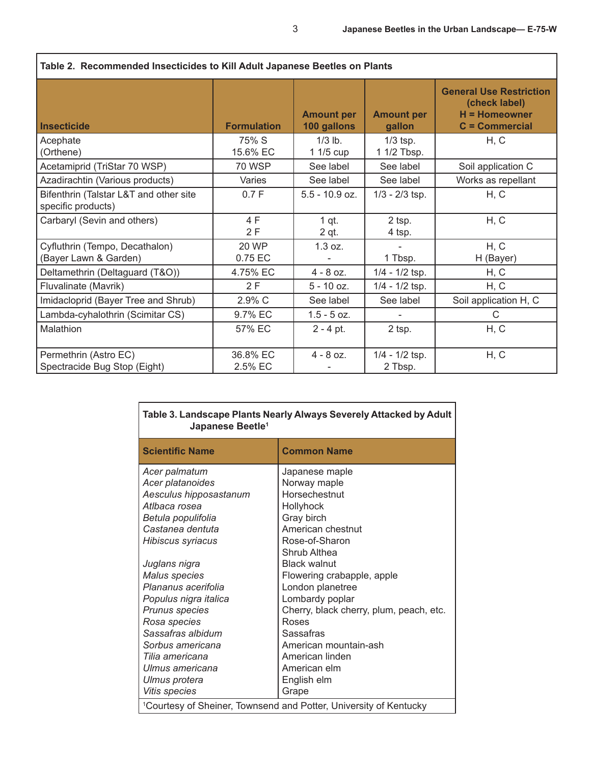I

| Table 2. Recommended insecucides to Kill Adult Japanese Beetles on Plants |                         |                                  |                             |                                                                                        |
|---------------------------------------------------------------------------|-------------------------|----------------------------------|-----------------------------|----------------------------------------------------------------------------------------|
| <b>Insecticide</b>                                                        | <b>Formulation</b>      | <b>Amount per</b><br>100 gallons | <b>Amount per</b><br>gallon | <b>General Use Restriction</b><br>(check label)<br>$H =$ Homeowner<br>$C =$ Commercial |
| Acephate<br>(Orthene)                                                     | 75% S<br>15.6% EC       | $1/3$ lb.<br>1 1/5 cup           | $1/3$ tsp.<br>1 1/2 Tbsp.   | H, C                                                                                   |
| Acetamiprid (TriStar 70 WSP)                                              | 70 WSP                  | See label                        | See label                   | Soil application C                                                                     |
| Azadirachtin (Various products)                                           | Varies                  | See label                        | See label                   | Works as repellant                                                                     |
| Bifenthrin (Talstar L&T and other site<br>specific products)              | 0.7 F                   | $5.5 - 10.9$ oz.                 | $1/3 - 2/3$ tsp.            | H, C                                                                                   |
| Carbaryl (Sevin and others)                                               | 4 F<br>2F               | $1$ qt.<br>2 qt.                 | 2 tsp.<br>4 tsp.            | H, C                                                                                   |
| Cyfluthrin (Tempo, Decathalon)<br>(Bayer Lawn & Garden)                   | <b>20 WP</b><br>0.75 EC | 1.3 oz.                          | 1 Tbsp.                     | H, C<br>H (Bayer)                                                                      |
| Deltamethrin (Deltaguard (T&O))                                           | 4.75% EC                | $4 - 8$ oz.                      | $1/4 - 1/2$ tsp.            | H, C                                                                                   |
| Fluvalinate (Mavrik)                                                      | 2F                      | $5 - 10$ oz.                     | $1/4 - 1/2$ tsp.            | H, C                                                                                   |
| Imidacloprid (Bayer Tree and Shrub)                                       | 2.9% C                  | See label                        | See label                   | Soil application H, C                                                                  |
| Lambda-cyhalothrin (Scimitar CS)                                          | 9.7% EC                 | $1.5 - 5$ oz.                    |                             | C                                                                                      |
| Malathion                                                                 | 57% EC                  | $2 - 4$ pt.                      | 2 tsp.                      | H, C                                                                                   |
| Permethrin (Astro EC)<br>Spectracide Bug Stop (Eight)                     | 36.8% EC<br>2.5% EC     | $4 - 8$ oz.                      | $1/4 - 1/2$ tsp.<br>2 Tbsp. | H, C                                                                                   |

| Table 3. Landscape Plants Nearly Always Severely Attacked by Adult<br>Japanese Beetle <sup>1</sup> |                                                                               |  |
|----------------------------------------------------------------------------------------------------|-------------------------------------------------------------------------------|--|
| <b>Scientific Name</b>                                                                             | <b>Common Name</b>                                                            |  |
| Acer palmatum                                                                                      | Japanese maple                                                                |  |
| Acer platanoides                                                                                   | Norway maple                                                                  |  |
| Aesculus hipposastanum                                                                             | Horsechestnut                                                                 |  |
| Atlbaca rosea<br><b>Hollyhock</b>                                                                  |                                                                               |  |
| Gray birch<br>Betula populifolia                                                                   |                                                                               |  |
| Castanea dentuta                                                                                   | American chestnut                                                             |  |
| Hibiscus syriacus                                                                                  | Rose-of-Sharon                                                                |  |
|                                                                                                    | Shrub Althea                                                                  |  |
| Juglans nigra                                                                                      | <b>Black walnut</b>                                                           |  |
| Malus species                                                                                      | Flowering crabapple, apple                                                    |  |
| Plananus acerifolia                                                                                | London planetree                                                              |  |
| Populus nigra italica                                                                              | Lombardy poplar                                                               |  |
| Cherry, black cherry, plum, peach, etc.<br>Prunus species                                          |                                                                               |  |
| Rosa species<br>Roses                                                                              |                                                                               |  |
| Sassafras albidum<br>Sassafras                                                                     |                                                                               |  |
| American mountain-ash<br>Sorbus americana                                                          |                                                                               |  |
| Tilia americana                                                                                    | American linden                                                               |  |
| Ulmus americana                                                                                    | American elm                                                                  |  |
| Ulmus protera                                                                                      | English elm                                                                   |  |
| Vitis species                                                                                      | Grape                                                                         |  |
|                                                                                                    | <sup>1</sup> Courtesy of Sheiner, Townsend and Potter, University of Kentucky |  |

### **Table 2. Recommended Insecticides to Kill Adult Japanese Beetles on Plants**